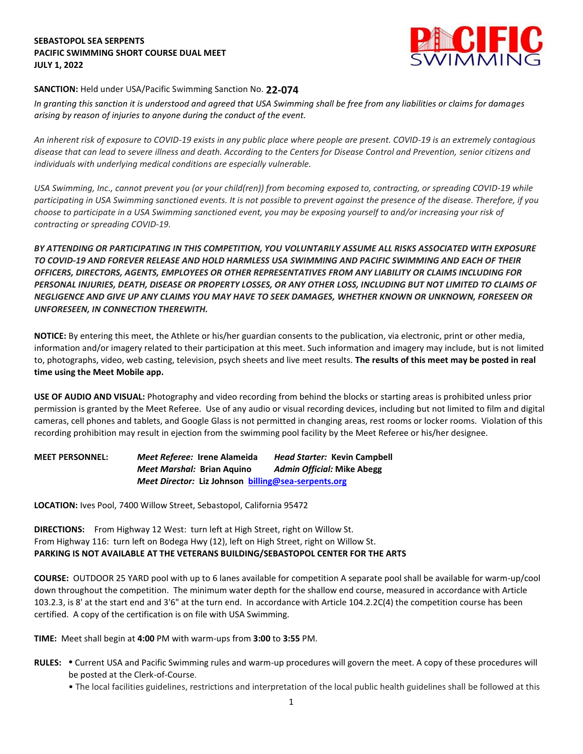# **SEBASTOPOL SEA SERPENTS PACIFIC SWIMMING SHORT COURSE DUAL MEET JULY 1, 2022**



# **SANCTION:** Held under USA/Pacific Swimming Sanction No. **22-074**

*In granting this sanction it is understood and agreed that USA Swimming shall be free from any liabilities or claims for damages arising by reason of injuries to anyone during the conduct of the event.* 

*An inherent risk of exposure to COVID-19 exists in any public place where people are present. COVID-19 is an extremely contagious disease that can lead to severe illness and death. According to the Centers for Disease Control and Prevention, senior citizens and individuals with underlying medical conditions are especially vulnerable.*

*USA Swimming, Inc., cannot prevent you (or your child(ren)) from becoming exposed to, contracting, or spreading COVID-19 while participating in USA Swimming sanctioned events. It is not possible to prevent against the presence of the disease. Therefore, if you choose to participate in a USA Swimming sanctioned event, you may be exposing yourself to and/or increasing your risk of contracting or spreading COVID-19.*

*BY ATTENDING OR PARTICIPATING IN THIS COMPETITION, YOU VOLUNTARILY ASSUME ALL RISKS ASSOCIATED WITH EXPOSURE TO COVID-19 AND FOREVER RELEASE AND HOLD HARMLESS USA SWIMMING AND PACIFIC SWIMMING AND EACH OF THEIR OFFICERS, DIRECTORS, AGENTS, EMPLOYEES OR OTHER REPRESENTATIVES FROM ANY LIABILITY OR CLAIMS INCLUDING FOR PERSONAL INJURIES, DEATH, DISEASE OR PROPERTY LOSSES, OR ANY OTHER LOSS, INCLUDING BUT NOT LIMITED TO CLAIMS OF NEGLIGENCE AND GIVE UP ANY CLAIMS YOU MAY HAVE TO SEEK DAMAGES, WHETHER KNOWN OR UNKNOWN, FORESEEN OR UNFORESEEN, IN CONNECTION THEREWITH.*

**NOTICE:** By entering this meet, the Athlete or his/her guardian consents to the publication, via electronic, print or other media, information and/or imagery related to their participation at this meet. Such information and imagery may include, but is not limited to, photographs, video, web casting, television, psych sheets and live meet results. **The results of this meet may be posted in real time using the Meet Mobile app.**

**USE OF AUDIO AND VISUAL:** Photography and video recording from behind the blocks or starting areas is prohibited unless prior permission is granted by the Meet Referee. Use of any audio or visual recording devices, including but not limited to film and digital cameras, cell phones and tablets, and Google Glass is not permitted in changing areas, rest rooms or locker rooms. Violation of this recording prohibition may result in ejection from the swimming pool facility by the Meet Referee or his/her designee.

**MEET PERSONNEL:** *Meet Referee:* **Irene Alameida** *Head Starter:* **Kevin Campbell** *Meet Marshal:* **Brian Aquino** *Admin Official:* **Mike Abegg** *Meet Director:* **Liz Johnson [billing@sea-serpents.org](mailto:billing@sea-serpents.org)**

**LOCATION:** Ives Pool, 7400 Willow Street, Sebastopol, California 95472

**DIRECTIONS:** From Highway 12 West: turn left at High Street, right on Willow St. From Highway 116: turn left on Bodega Hwy (12), left on High Street, right on Willow St. **PARKING IS NOT AVAILABLE AT THE VETERANS BUILDING/SEBASTOPOL CENTER FOR THE ARTS**

**COURSE:** OUTDOOR 25 YARD pool with up to 6 lanes available for competition A separate pool shall be available for warm-up/cool down throughout the competition. The minimum water depth for the shallow end course, measured in accordance with Article 103.2.3, is 8' at the start end and 3'6" at the turn end. In accordance with Article 104.2.2C(4) the competition course has been certified. A copy of the certification is on file with USA Swimming.

**TIME:** Meet shall begin at **4:00** PM with warm-ups from **3:00** to **3:55** PM.

- **RULES: •** Current USA and Pacific Swimming rules and warm-up procedures will govern the meet. A copy of these procedures will be posted at the Clerk-of-Course.
	- The local facilities guidelines, restrictions and interpretation of the local public health guidelines shall be followed at this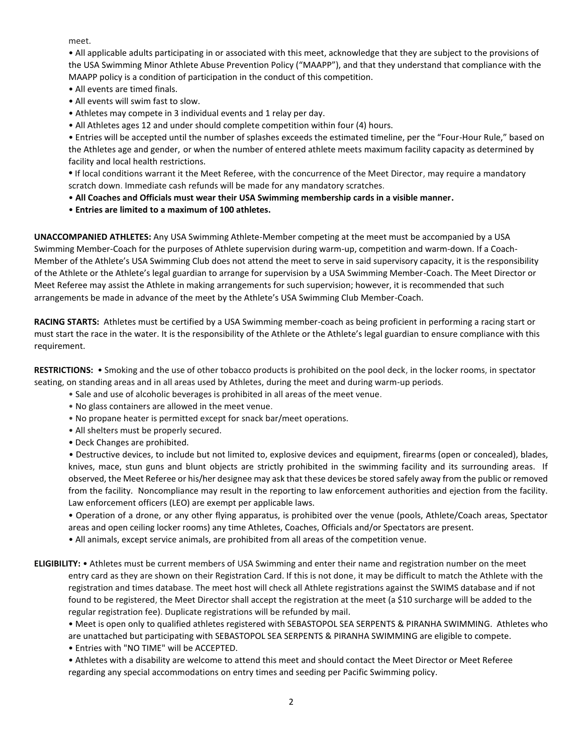meet.

• All applicable adults participating in or associated with this meet, acknowledge that they are subject to the provisions of the USA Swimming Minor Athlete Abuse Prevention Policy ("MAAPP"), and that they understand that compliance with the MAAPP policy is a condition of participation in the conduct of this competition.

- All events are timed finals.
- All events will swim fast to slow.
- Athletes may compete in 3 individual events and 1 relay per day.
- All Athletes ages 12 and under should complete competition within four (4) hours.

• Entries will be accepted until the number of splashes exceeds the estimated timeline, per the "Four-Hour Rule," based on the Athletes age and gender, or when the number of entered athlete meets maximum facility capacity as determined by facility and local health restrictions.

**•** If local conditions warrant it the Meet Referee, with the concurrence of the Meet Director, may require a mandatory scratch down. Immediate cash refunds will be made for any mandatory scratches.

- **All Coaches and Officials must wear their USA Swimming membership cards in a visible manner.**
- **Entries are limited to a maximum of 100 athletes.**

**UNACCOMPANIED ATHLETES:** Any USA Swimming Athlete-Member competing at the meet must be accompanied by a USA Swimming Member-Coach for the purposes of Athlete supervision during warm-up, competition and warm-down. If a Coach-Member of the Athlete's USA Swimming Club does not attend the meet to serve in said supervisory capacity, it is the responsibility of the Athlete or the Athlete's legal guardian to arrange for supervision by a USA Swimming Member-Coach. The Meet Director or Meet Referee may assist the Athlete in making arrangements for such supervision; however, it is recommended that such arrangements be made in advance of the meet by the Athlete's USA Swimming Club Member-Coach.

**RACING STARTS:** Athletes must be certified by a USA Swimming member-coach as being proficient in performing a racing start or must start the race in the water. It is the responsibility of the Athlete or the Athlete's legal guardian to ensure compliance with this requirement.

**RESTRICTIONS:** • Smoking and the use of other tobacco products is prohibited on the pool deck, in the locker rooms, in spectator seating, on standing areas and in all areas used by Athletes, during the meet and during warm-up periods.

- Sale and use of alcoholic beverages is prohibited in all areas of the meet venue.
- No glass containers are allowed in the meet venue.
- No propane heater is permitted except for snack bar/meet operations.
- All shelters must be properly secured.
- Deck Changes are prohibited.

 • Destructive devices, to include but not limited to, explosive devices and equipment, firearms (open or concealed), blades, knives, mace, stun guns and blunt objects are strictly prohibited in the swimming facility and its surrounding areas. If observed, the Meet Referee or his/her designee may ask that these devices be stored safely away from the public or removed from the facility. Noncompliance may result in the reporting to law enforcement authorities and ejection from the facility. Law enforcement officers (LEO) are exempt per applicable laws.

• Operation of a drone, or any other flying apparatus, is prohibited over the venue (pools, Athlete/Coach areas, Spectator areas and open ceiling locker rooms) any time Athletes, Coaches, Officials and/or Spectators are present.

• All animals, except service animals, are prohibited from all areas of the competition venue.

**ELIGIBILITY:** • Athletes must be current members of USA Swimming and enter their name and registration number on the meet entry card as they are shown on their Registration Card. If this is not done, it may be difficult to match the Athlete with the registration and times database. The meet host will check all Athlete registrations against the SWIMS database and if not found to be registered, the Meet Director shall accept the registration at the meet (a \$10 surcharge will be added to the regular registration fee). Duplicate registrations will be refunded by mail.

• Meet is open only to qualified athletes registered with SEBASTOPOL SEA SERPENTS & PIRANHA SWIMMING. Athletes who are unattached but participating with SEBASTOPOL SEA SERPENTS & PIRANHA SWIMMING are eligible to compete.

• Entries with "NO TIME" will be ACCEPTED.

• Athletes with a disability are welcome to attend this meet and should contact the Meet Director or Meet Referee regarding any special accommodations on entry times and seeding per Pacific Swimming policy.